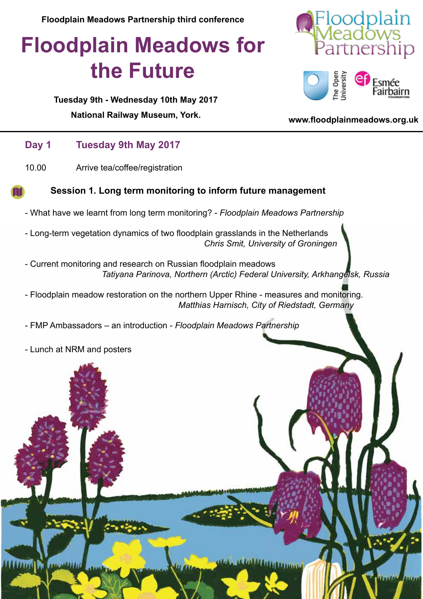**Floodplain Meadows Partnership third conference**

# **Floodplain Meadows for the Future**

oodplain ìership



#### **Tuesday 9th - Wednesday 10th May 2017**

**[National Railway Museum](http://www.nrm.org.uk), York. <www.floodplainmeadows.org.uk>**

### **Day 1 Tuesday 9th May 2017**

10.00 Arrive tea/coffee/registration



- What have we learnt from long term monitoring? - *Floodplain Meadows Partnership* 

- Long-term vegetation dynamics of two floodplain grasslands in the Netherlands *Chris Smit, University of Groningen*

- Current monitoring and research on Russian floodplain meadows *Tatiyana Parinova, Northern (Arctic) Federal University, Arkhangelsk, Russia*

- Floodplain meadow restoration on the northern Upper Rhine - measures and monitoring. *Matthias Harnisch, City of Riedstadt, Germany*

- FMP Ambassadors – an introduction - *Floodplain Meadows Partnership*

- Lunch at NRM and posters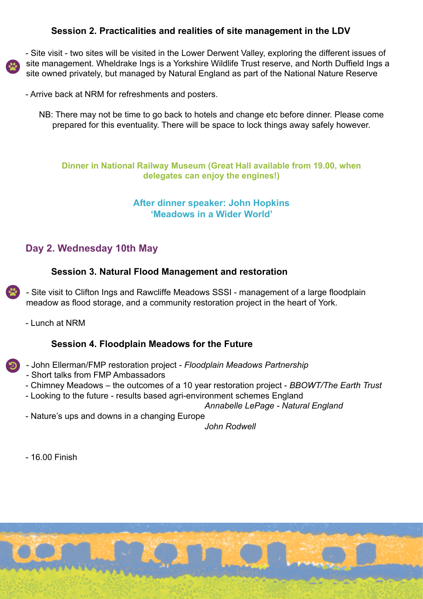#### **Session 2. Practicalities and realities of site management in the LDV**



- Site visit - two sites will be visited in the Lower Derwent Valley, exploring the different issues of site management. Wheldrake Ings is a Yorkshire Wildlife Trust reserve, and North Duffield Ings a site owned privately, but managed by Natural England as part of the National Nature Reserve

- Arrive back at NRM for refreshments and posters.
	- NB: There may not be time to go back to hotels and change etc before dinner. Please come prepared for this eventuality. There will be space to lock things away safely however.

**Dinner in National Railway Museum (Great Hall available from 19.00, when delegates can enjoy the engines!)**

#### **After dinner speaker: John Hopkins 'Meadows in a Wider World'**

### **Day 2. Wednesday 10th May**

#### **Session 3. Natural Flood Management and restoration**

- Site visit to Clifton Ings and Rawcliffe Meadows SSSI - management of a large floodplain meadow as flood storage, and a community restoration project in the heart of York.

- Lunch at NRM

#### **Session 4. Floodplain Meadows for the Future**

- John Ellerman/FMP restoration project *Floodplain Meadows Partnership*
	- Short talks from FMP Ambassadors
	- Chimney Meadows the outcomes of a 10 year restoration project - *BBOWT/The Earth Trust*
	- Looking to the future results based agri-environment schemes England

*Annabelle LePage - Natural England*

- Nature's ups and downs in a changing Europe

*John Rodwell*

- 16.00 Finish